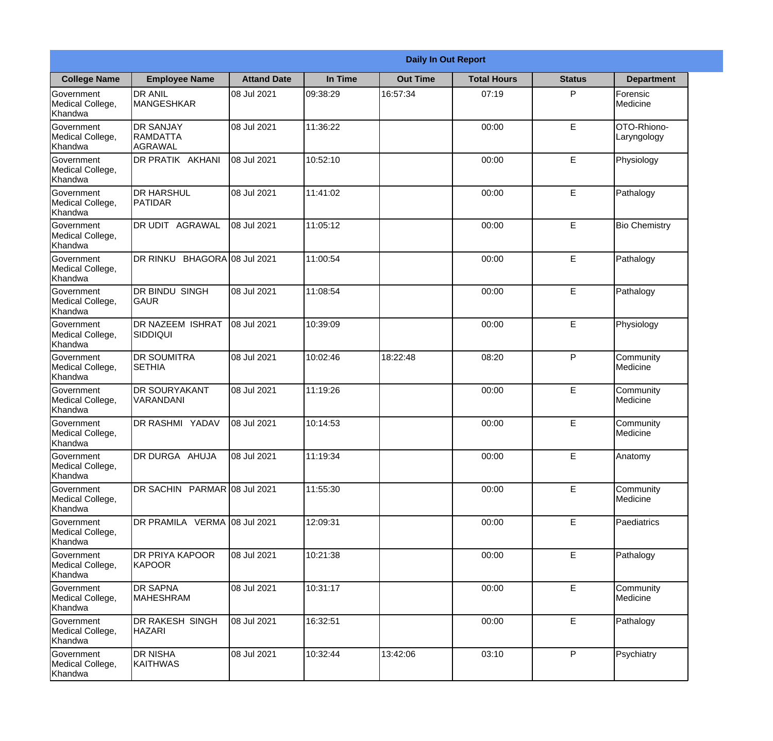|                                                  | <b>Daily In Out Report</b>                            |                    |          |                 |                    |               |                            |  |
|--------------------------------------------------|-------------------------------------------------------|--------------------|----------|-----------------|--------------------|---------------|----------------------------|--|
| <b>College Name</b>                              | <b>Employee Name</b>                                  | <b>Attand Date</b> | In Time  | <b>Out Time</b> | <b>Total Hours</b> | <b>Status</b> | <b>Department</b>          |  |
| Government<br>Medical College,<br>Khandwa        | <b>DR ANIL</b><br><b>MANGESHKAR</b>                   | 08 Jul 2021        | 09:38:29 | 16:57:34        | 07:19              | P             | Forensic<br>Medicine       |  |
| Government<br>Medical College,<br>Khandwa        | <b>DR SANJAY</b><br><b>RAMDATTA</b><br><b>AGRAWAL</b> | 08 Jul 2021        | 11:36:22 |                 | 00:00              | $\mathsf E$   | OTO-Rhiono-<br>Laryngology |  |
| <b>Government</b><br>Medical College,<br>Khandwa | <b>IDR PRATIK AKHANI</b>                              | 08 Jul 2021        | 10:52:10 |                 | 00:00              | E             | Physiology                 |  |
| <b>Government</b><br>Medical College,<br>Khandwa | <b>DR HARSHUL</b><br>PATIDAR                          | 08 Jul 2021        | 11:41:02 |                 | 00:00              | E             | Pathalogy                  |  |
| Government<br>Medical College,<br>Khandwa        | <b>DR UDIT AGRAWAL</b>                                | 08 Jul 2021        | 11:05:12 |                 | 00:00              | E             | <b>Bio Chemistry</b>       |  |
| Government<br>Medical College,<br>Khandwa        | DR RINKU BHAGORA 08 Jul 2021                          |                    | 11:00:54 |                 | 00:00              | $\mathsf E$   | Pathalogy                  |  |
| <b>Government</b><br>Medical College,<br>Khandwa | <b>DR BINDU SINGH</b><br><b>GAUR</b>                  | 08 Jul 2021        | 11:08:54 |                 | 00:00              | E             | Pathalogy                  |  |
| <b>Government</b><br>Medical College,<br>Khandwa | <b>DR NAZEEM ISHRAT</b><br> SIDDIQUI                  | 08 Jul 2021        | 10:39:09 |                 | 00:00              | E             | Physiology                 |  |
| Government<br>Medical College,<br>Khandwa        | <b>DR SOUMITRA</b><br><b>SETHIA</b>                   | 08 Jul 2021        | 10:02:46 | 18:22:48        | 08:20              | P             | Community<br>Medicine      |  |
| Government<br>Medical College,<br>Khandwa        | <b>DR SOURYAKANT</b><br>VARANDANI                     | 08 Jul 2021        | 11:19:26 |                 | 00:00              | E             | Community<br>Medicine      |  |
| Government<br>Medical College,<br>Khandwa        | <b>IDR RASHMI YADAV</b>                               | 08 Jul 2021        | 10:14:53 |                 | 00:00              | E             | Community<br>Medicine      |  |
| Government<br>Medical College,<br>Khandwa        | DR DURGA AHUJA                                        | 08 Jul 2021        | 11:19:34 |                 | 00:00              | E             | Anatomy                    |  |
| Government<br>Medical College,<br>Khandwa        | DR SACHIN PARMAR 08 Jul 2021                          |                    | 11:55:30 |                 | 00:00              | E             | Community<br>Medicine      |  |
| Government<br>Medical College,<br>Khandwa        | DR PRAMILA VERMA 08 Jul 2021                          |                    | 12:09:31 |                 | 00:00              | $\mathsf E$   | Paediatrics                |  |
| Government<br>Medical College,<br>Khandwa        | <b>DR PRIYA KAPOOR</b><br><b>KAPOOR</b>               | 08 Jul 2021        | 10:21:38 |                 | 00:00              | E             | Pathalogy                  |  |
| Government<br>Medical College,<br>Khandwa        | <b>DR SAPNA</b><br><b>MAHESHRAM</b>                   | 08 Jul 2021        | 10:31:17 |                 | 00:00              | E             | Community<br>Medicine      |  |
| Government<br>Medical College,<br>Khandwa        | DR RAKESH SINGH<br><b>HAZARI</b>                      | 08 Jul 2021        | 16:32:51 |                 | 00:00              | E             | Pathalogy                  |  |
| Government<br>Medical College,<br>Khandwa        | <b>DR NISHA</b><br>KAITHWAS                           | 08 Jul 2021        | 10:32:44 | 13:42:06        | 03:10              | P             | Psychiatry                 |  |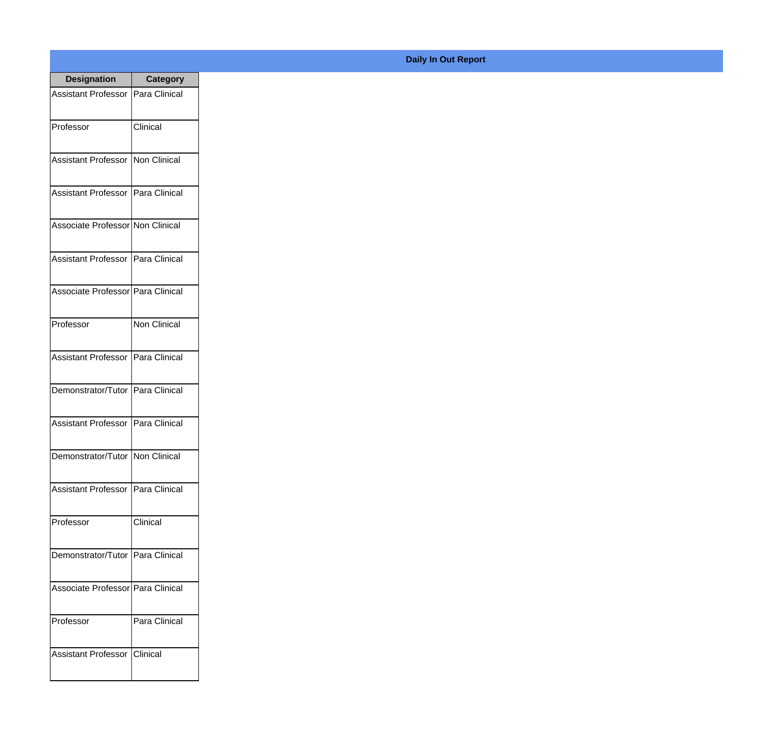| <b>Designation</b>                  | <b>Category</b>     |
|-------------------------------------|---------------------|
| Assistant Professor   Para Clinical |                     |
| Professor                           | Clinical            |
| Assistant Professor                 | Non Clinical        |
| <b>Assistant Professor</b>          | Para Clinical       |
| Associate Professor Non Clinical    |                     |
| Assistant Professor   Para Clinical |                     |
| Associate Professor Para Clinical   |                     |
| Professor                           | <b>Non Clinical</b> |
| Assistant Professor   Para Clinical |                     |
| Demonstrator/Tutor   Para Clinical  |                     |
| <b>Assistant Professor</b>          | Para Clinical       |
| Demonstrator/Tutor   Non Clinical   |                     |
| Assistant Professor   Para Clinical |                     |
| Professor                           | Clinical            |
| Demonstrator/Tutor   Para Clinical  |                     |
| Associate Professor   Para Clinical |                     |
| Professor                           | Para Clinical       |
| Assistant Professor                 | <b>Clinical</b>     |

## **Daily In Out Report**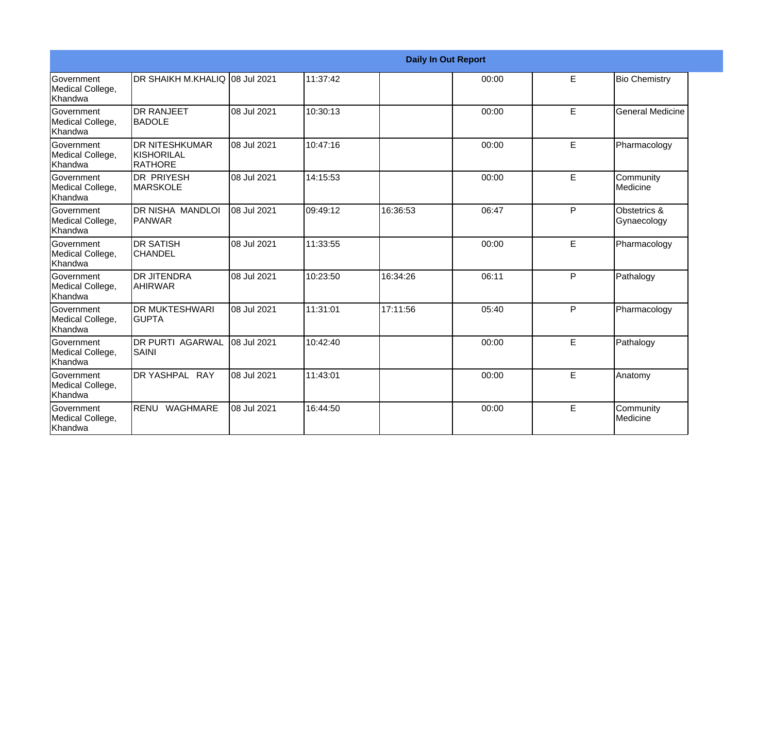|                                                  |                                                       |             |          |          | <b>Daily In Out Report</b> |    |                             |
|--------------------------------------------------|-------------------------------------------------------|-------------|----------|----------|----------------------------|----|-----------------------------|
| <b>Government</b><br>Medical College,<br>Khandwa | DR SHAIKH M.KHALIQ 08 Jul 2021                        |             | 11:37:42 |          | 00:00                      | E  | <b>Bio Chemistry</b>        |
| Government<br>Medical College,<br>Khandwa        | <b>DR RANJEET</b><br><b>IBADOLE</b>                   | 08 Jul 2021 | 10:30:13 |          | 00:00                      | E  | <b>General Medicine</b>     |
| Government<br>Medical College,<br>Khandwa        | <b>DR NITESHKUMAR</b><br>KISHORILAL<br><b>RATHORE</b> | 08 Jul 2021 | 10:47:16 |          | 00:00                      | E  | Pharmacology                |
| <b>Government</b><br>Medical College,<br>Khandwa | <b>DR PRIYESH</b><br><b>MARSKOLE</b>                  | 08 Jul 2021 | 14:15:53 |          | 00:00                      | E  | Community<br>Medicine       |
| Government<br>Medical College,<br>Khandwa        | DR NISHA MANDLOI<br>PANWAR                            | 08 Jul 2021 | 09:49:12 | 16:36:53 | 06:47                      | P  | Obstetrics &<br>Gynaecology |
| <b>Government</b><br>Medical College,<br>Khandwa | <b>DR SATISH</b><br><b>ICHANDEL</b>                   | 08 Jul 2021 | 11:33:55 |          | 00:00                      | E  | Pharmacology                |
| <b>Government</b><br>Medical College,<br>Khandwa | <b>DR JITENDRA</b><br><b>AHIRWAR</b>                  | 08 Jul 2021 | 10:23:50 | 16:34:26 | 06:11                      | P  | Pathalogy                   |
| Government<br>Medical College,<br>Khandwa        | <b>DR MUKTESHWARI</b><br><b>GUPTA</b>                 | 08 Jul 2021 | 11:31:01 | 17:11:56 | 05:40                      | P  | Pharmacology                |
| Government<br>Medical College,<br>Khandwa        | <b>DR PURTI AGARWAL</b><br>SAINI                      | 08 Jul 2021 | 10:42:40 |          | 00:00                      | E  | Pathalogy                   |
| Government<br>Medical College,<br>Khandwa        | <b>DR YASHPAL RAY</b>                                 | 08 Jul 2021 | 11:43:01 |          | 00:00                      | E  | Anatomy                     |
| Government<br>Medical College,<br>Khandwa        | RENU WAGHMARE                                         | 08 Jul 2021 | 16:44:50 |          | 00:00                      | E. | Community<br>Medicine       |